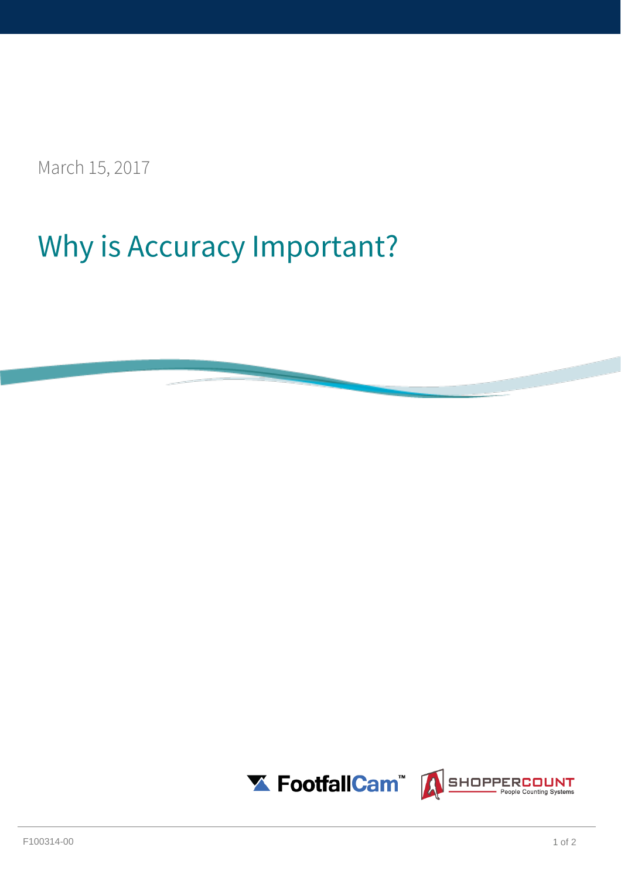March 15, 2017

## Why is Accuracy Important?